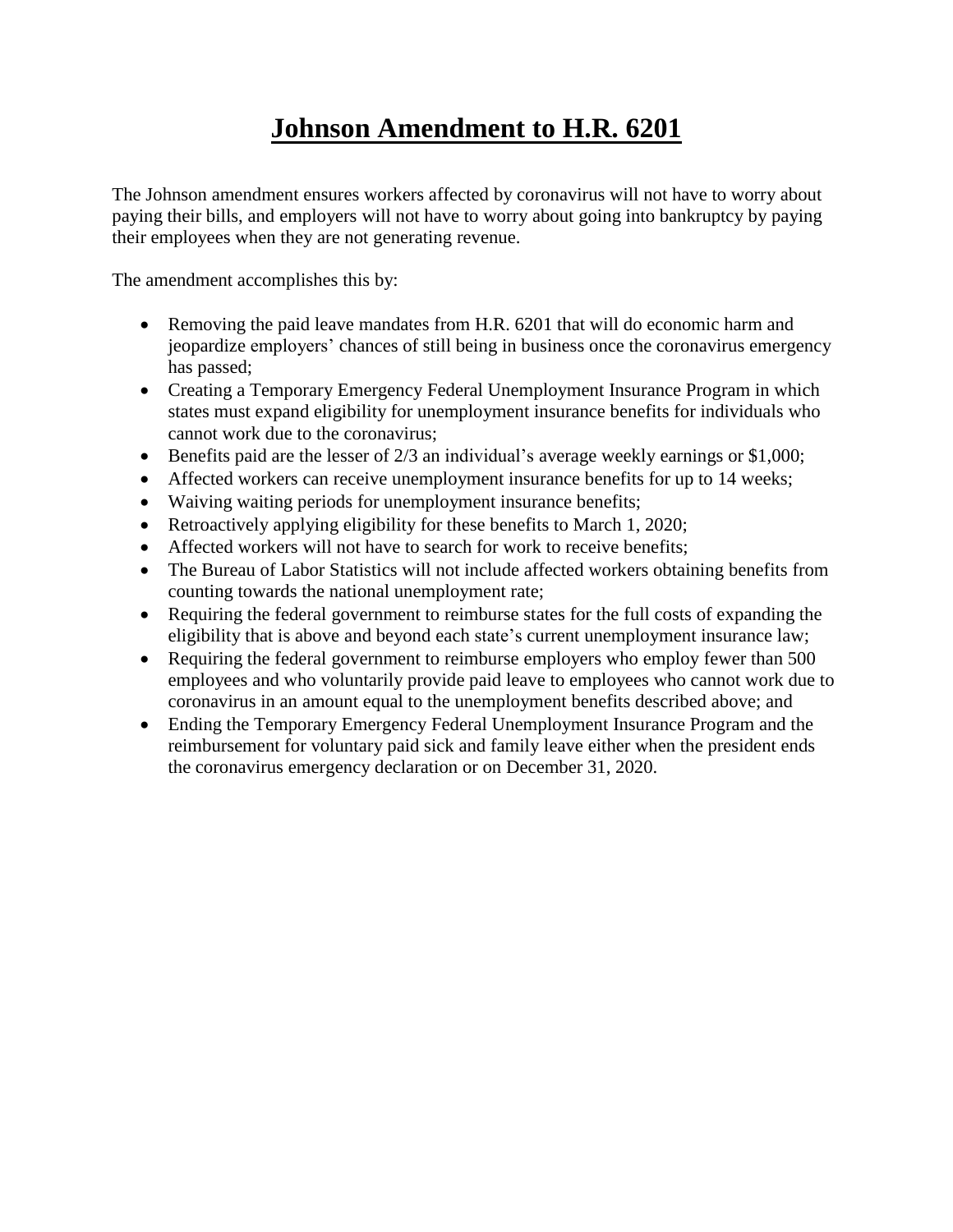## **Johnson Amendment to H.R. 6201**

The Johnson amendment ensures workers affected by coronavirus will not have to worry about paying their bills, and employers will not have to worry about going into bankruptcy by paying their employees when they are not generating revenue.

The amendment accomplishes this by:

- Removing the paid leave mandates from H.R. 6201 that will do economic harm and jeopardize employers' chances of still being in business once the coronavirus emergency has passed;
- Creating a Temporary Emergency Federal Unemployment Insurance Program in which states must expand eligibility for unemployment insurance benefits for individuals who cannot work due to the coronavirus;
- $\bullet$  Benefits paid are the lesser of 2/3 an individual's average weekly earnings or \$1,000;
- Affected workers can receive unemployment insurance benefits for up to 14 weeks;
- Waiving waiting periods for unemployment insurance benefits;
- Retroactively applying eligibility for these benefits to March 1, 2020;
- Affected workers will not have to search for work to receive benefits;
- The Bureau of Labor Statistics will not include affected workers obtaining benefits from counting towards the national unemployment rate;
- Requiring the federal government to reimburse states for the full costs of expanding the eligibility that is above and beyond each state's current unemployment insurance law;
- Requiring the federal government to reimburse employers who employ fewer than 500 employees and who voluntarily provide paid leave to employees who cannot work due to coronavirus in an amount equal to the unemployment benefits described above; and
- Ending the Temporary Emergency Federal Unemployment Insurance Program and the reimbursement for voluntary paid sick and family leave either when the president ends the coronavirus emergency declaration or on December 31, 2020.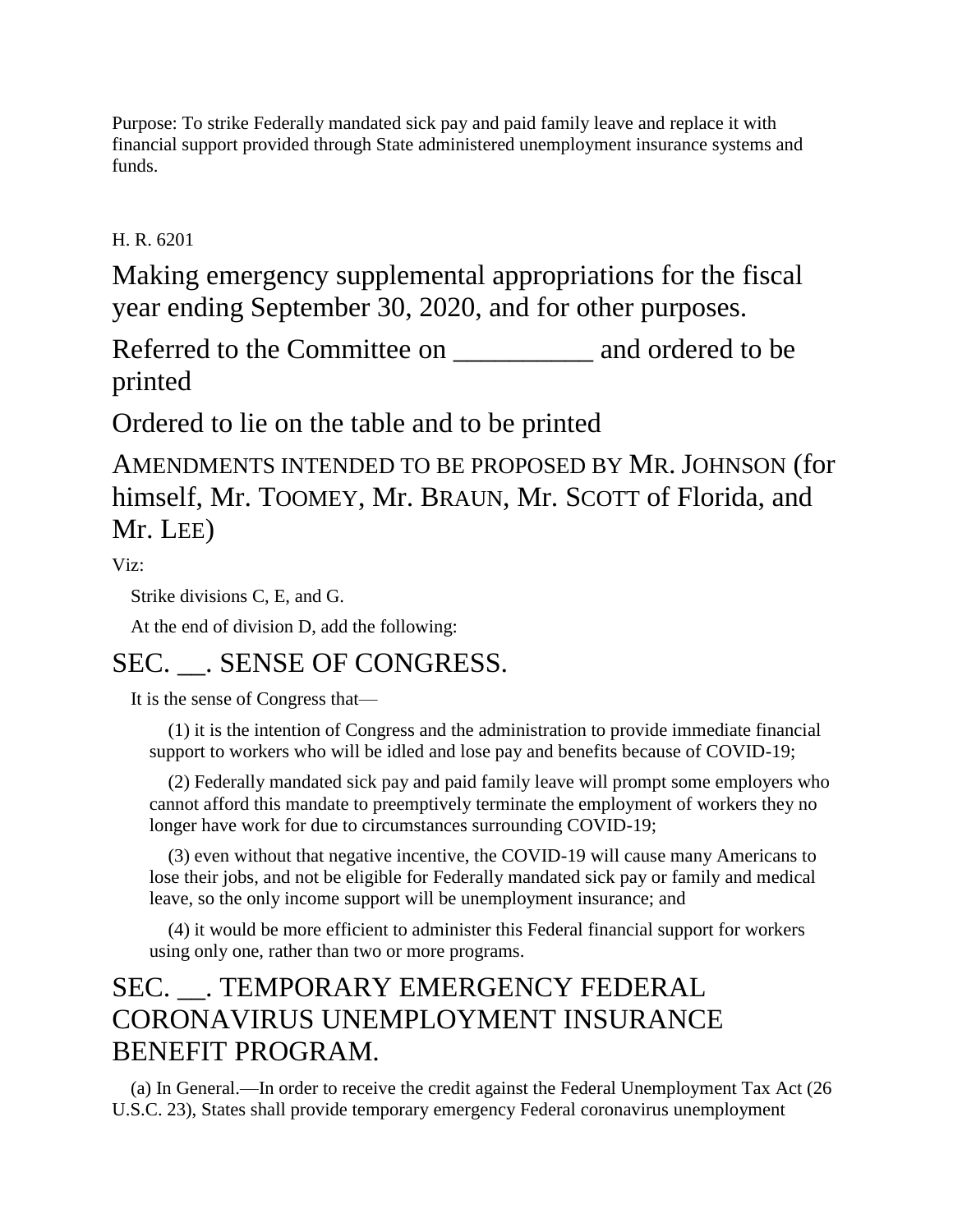Purpose: To strike Federally mandated sick pay and paid family leave and replace it with financial support provided through State administered unemployment insurance systems and funds.

H. R. 6201

Making emergency supplemental appropriations for the fiscal year ending September 30, 2020, and for other purposes.

Referred to the Committee on \_\_\_\_\_\_\_\_\_\_\_ and ordered to be printed

Ordered to lie on the table and to be printed

AMENDMENTS INTENDED TO BE PROPOSED BY MR. JOHNSON (for himself, Mr. TOOMEY, Mr. BRAUN, Mr. SCOTT of Florida, and Mr. LEE)

Viz:

Strike divisions C, E, and G.

At the end of division D, add the following:

## SEC. \_\_. SENSE OF CONGRESS.

It is the sense of Congress that—

(1) it is the intention of Congress and the administration to provide immediate financial support to workers who will be idled and lose pay and benefits because of COVID-19;

(2) Federally mandated sick pay and paid family leave will prompt some employers who cannot afford this mandate to preemptively terminate the employment of workers they no longer have work for due to circumstances surrounding COVID-19;

(3) even without that negative incentive, the COVID-19 will cause many Americans to lose their jobs, and not be eligible for Federally mandated sick pay or family and medical leave, so the only income support will be unemployment insurance; and

(4) it would be more efficient to administer this Federal financial support for workers using only one, rather than two or more programs.

## SEC. FEMPORARY EMERGENCY FEDERAL CORONAVIRUS UNEMPLOYMENT INSURANCE BENEFIT PROGRAM.

(a) In General.—In order to receive the credit against the Federal Unemployment Tax Act (26 U.S.C. 23), States shall provide temporary emergency Federal coronavirus unemployment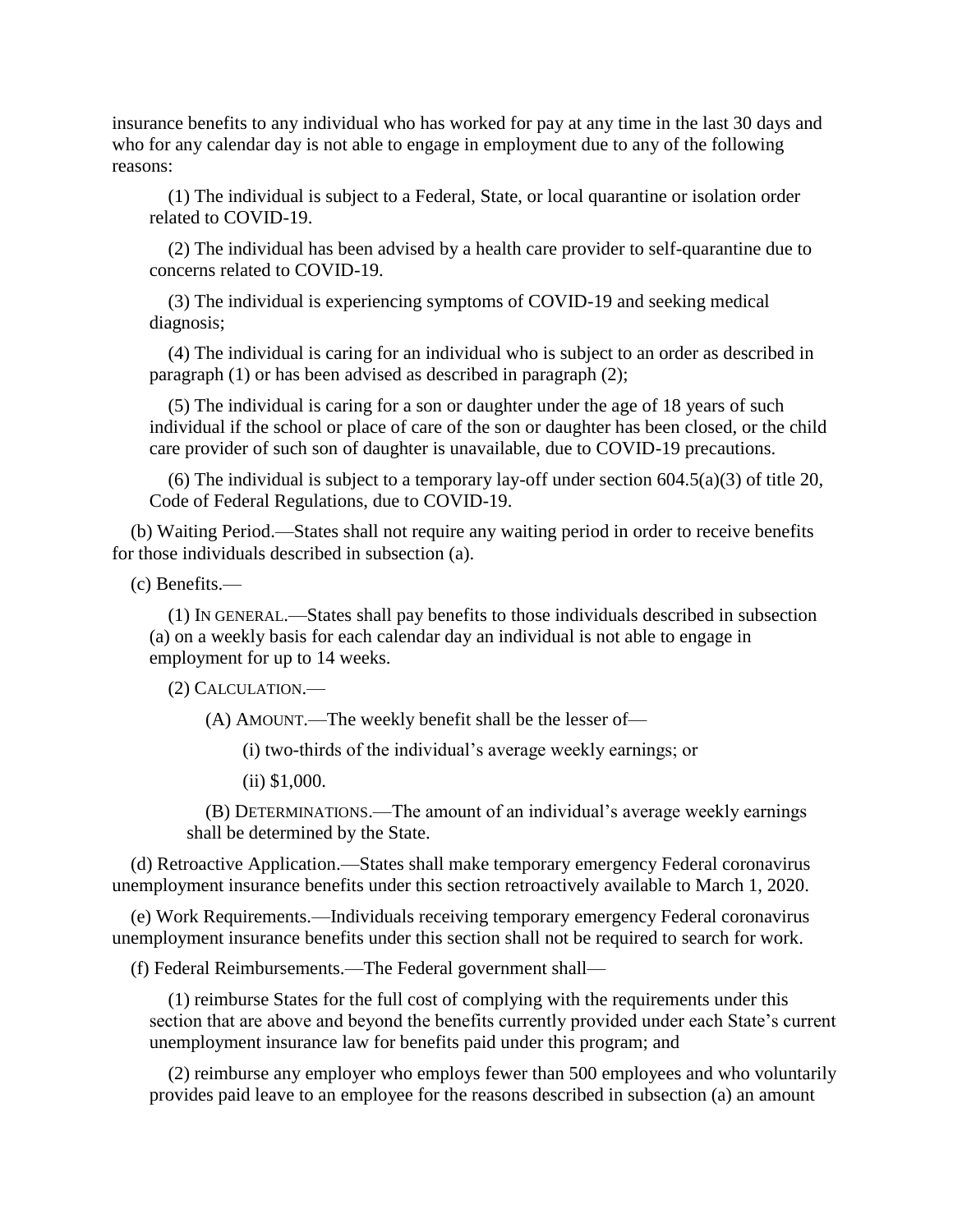insurance benefits to any individual who has worked for pay at any time in the last 30 days and who for any calendar day is not able to engage in employment due to any of the following reasons:

(1) The individual is subject to a Federal, State, or local quarantine or isolation order related to COVID-19.

(2) The individual has been advised by a health care provider to self-quarantine due to concerns related to COVID-19.

(3) The individual is experiencing symptoms of COVID-19 and seeking medical diagnosis;

(4) The individual is caring for an individual who is subject to an order as described in paragraph (1) or has been advised as described in paragraph (2);

(5) The individual is caring for a son or daughter under the age of 18 years of such individual if the school or place of care of the son or daughter has been closed, or the child care provider of such son of daughter is unavailable, due to COVID-19 precautions.

(6) The individual is subject to a temporary lay-off under section  $604.5(a)(3)$  of title 20, Code of Federal Regulations, due to COVID-19.

(b) Waiting Period.—States shall not require any waiting period in order to receive benefits for those individuals described in subsection (a).

(c) Benefits.—

(1) IN GENERAL.—States shall pay benefits to those individuals described in subsection (a) on a weekly basis for each calendar day an individual is not able to engage in employment for up to 14 weeks.

(2) CALCULATION.—

(A) AMOUNT.—The weekly benefit shall be the lesser of—

(i) two-thirds of the individual's average weekly earnings; or

(ii) \$1,000.

(B) DETERMINATIONS.—The amount of an individual's average weekly earnings shall be determined by the State.

(d) Retroactive Application.—States shall make temporary emergency Federal coronavirus unemployment insurance benefits under this section retroactively available to March 1, 2020.

(e) Work Requirements.—Individuals receiving temporary emergency Federal coronavirus unemployment insurance benefits under this section shall not be required to search for work.

(f) Federal Reimbursements.—The Federal government shall—

(1) reimburse States for the full cost of complying with the requirements under this section that are above and beyond the benefits currently provided under each State's current unemployment insurance law for benefits paid under this program; and

(2) reimburse any employer who employs fewer than 500 employees and who voluntarily provides paid leave to an employee for the reasons described in subsection (a) an amount